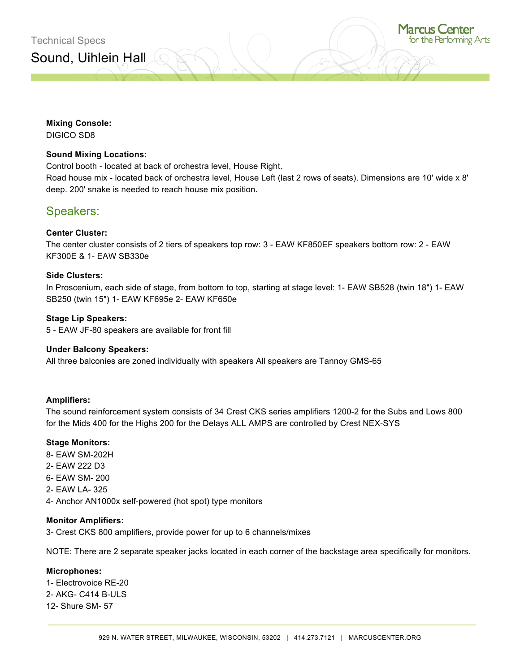## **Mixing Console:**

DIGICO SD8

## **Sound Mixing Locations:**

Control booth - located at back of orchestra level, House Right. Road house mix - located back of orchestra level, House Left (last 2 rows of seats). Dimensions are 10' wide x 8' deep. 200' snake is needed to reach house mix position.

## Speakers:

#### **Center Cluster:**

The center cluster consists of 2 tiers of speakers top row: 3 - EAW KF850EF speakers bottom row: 2 - EAW KF300E & 1- EAW SB330e

#### **Side Clusters:**

In Proscenium, each side of stage, from bottom to top, starting at stage level: 1- EAW SB528 (twin 18") 1- EAW SB250 (twin 15") 1- EAW KF695e 2- EAW KF650e

#### **Stage Lip Speakers:**

5 - EAW JF-80 speakers are available for front fill

#### **Under Balcony Speakers:**

All three balconies are zoned individually with speakers All speakers are Tannoy GMS-65

#### **Amplifiers:**

The sound reinforcement system consists of 34 Crest CKS series amplifiers 1200-2 for the Subs and Lows 800 for the Mids 400 for the Highs 200 for the Delays ALL AMPS are controlled by Crest NEX-SYS

#### **Stage Monitors:**

- 8- EAW SM-202H
- 2- EAW 222 D3
- 6- EAW SM- 200
- 2- EAW LA- 325
- 4- Anchor AN1000x self-powered (hot spot) type monitors

#### **Monitor Amplifiers:**

3- Crest CKS 800 amplifiers, provide power for up to 6 channels/mixes

NOTE: There are 2 separate speaker jacks located in each corner of the backstage area specifically for monitors.

#### **Microphones:**

1- Electrovoice RE-20 2- AKG- C414 B-ULS 12- Shure SM- 57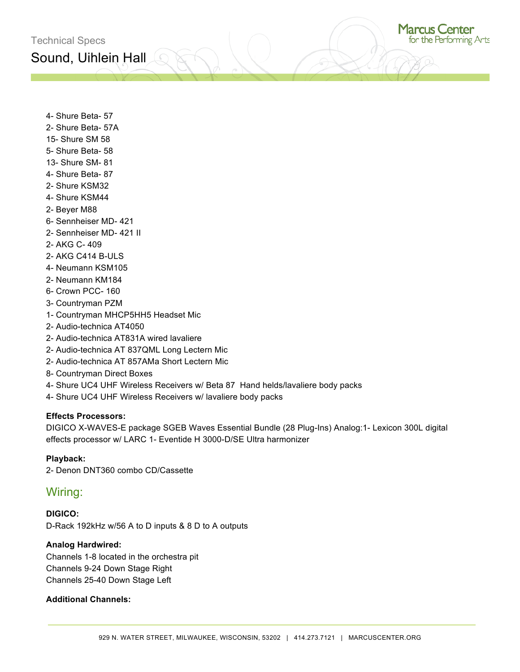4- Shure Beta- 57

- 2- Shure Beta- 57A
- 15- Shure SM 58
- 5- Shure Beta- 58
- 13- Shure SM- 81
- 4- Shure Beta- 87
- 2- Shure KSM32
- 4- Shure KSM44
- 2- Beyer M88
- 6- Sennheiser MD- 421
- 2- Sennheiser MD- 421 II
- 2- AKG C- 409
- 2- AKG C414 B-ULS
- 4- Neumann KSM105
- 2- Neumann KM184
- 6- Crown PCC- 160
- 3- Countryman PZM
- 1- Countryman MHCP5HH5 Headset Mic
- 2- Audio-technica AT4050
- 2- Audio-technica AT831A wired lavaliere
- 2- Audio-technica AT 837QML Long Lectern Mic
- 2- Audio-technica AT 857AMa Short Lectern Mic
- 8- Countryman Direct Boxes
- 4- Shure UC4 UHF Wireless Receivers w/ Beta 87 Hand helds/lavaliere body packs
- 4- Shure UC4 UHF Wireless Receivers w/ lavaliere body packs

## **Effects Processors:**

DIGICO X-WAVES-E package SGEB Waves Essential Bundle (28 Plug-Ins) Analog:1- Lexicon 300L digital effects processor w/ LARC 1- Eventide H 3000-D/SE Ultra harmonizer

## **Playback:**

2- Denon DNT360 combo CD/Cassette

## Wiring:

**DIGICO:** D-Rack 192kHz w/56 A to D inputs & 8 D to A outputs

## **Analog Hardwired:**

Channels 1-8 located in the orchestra pit Channels 9-24 Down Stage Right Channels 25-40 Down Stage Left

## **Additional Channels:**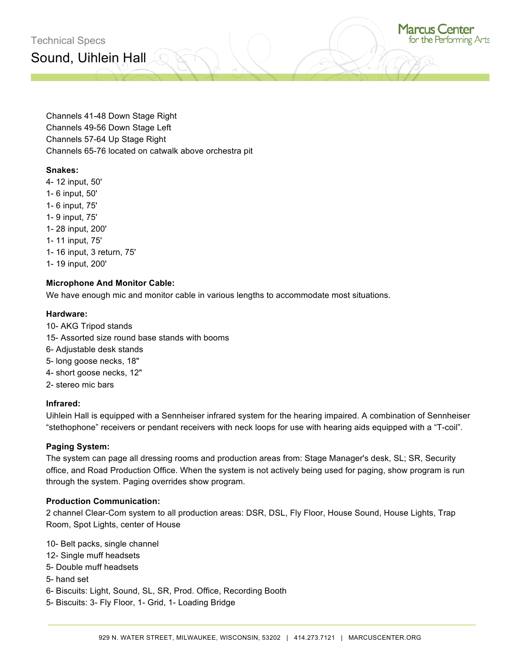Sound, Uihlein Hall



Channels 41-48 Down Stage Right Channels 49-56 Down Stage Left Channels 57-64 Up Stage Right Channels 65-76 located on catwalk above orchestra pit

## **Snakes:**

4- 12 input, 50' 1- 6 input, 50' 1- 6 input, 75' 1- 9 input, 75' 1- 28 input, 200' 1- 11 input, 75' 1- 16 input, 3 return, 75' 1- 19 input, 200'

## **Microphone And Monitor Cable:**

We have enough mic and monitor cable in various lengths to accommodate most situations.

#### **Hardware:**

- 10- AKG Tripod stands
- 15- Assorted size round base stands with booms
- 6- Adjustable desk stands
- 5- long goose necks, 18"
- 4- short goose necks, 12"
- 2- stereo mic bars

#### **Infrared:**

Uihlein Hall is equipped with a Sennheiser infrared system for the hearing impaired. A combination of Sennheiser "stethophone" receivers or pendant receivers with neck loops for use with hearing aids equipped with a "T-coil".

#### **Paging System:**

The system can page all dressing rooms and production areas from: Stage Manager's desk, SL; SR, Security office, and Road Production Office. When the system is not actively being used for paging, show program is run through the system. Paging overrides show program.

#### **Production Communication:**

2 channel Clear-Com system to all production areas: DSR, DSL, Fly Floor, House Sound, House Lights, Trap Room, Spot Lights, center of House

- 10- Belt packs, single channel
- 12- Single muff headsets
- 5- Double muff headsets
- 5- hand set
- 6- Biscuits: Light, Sound, SL, SR, Prod. Office, Recording Booth
- 5- Biscuits: 3- Fly Floor, 1- Grid, 1- Loading Bridge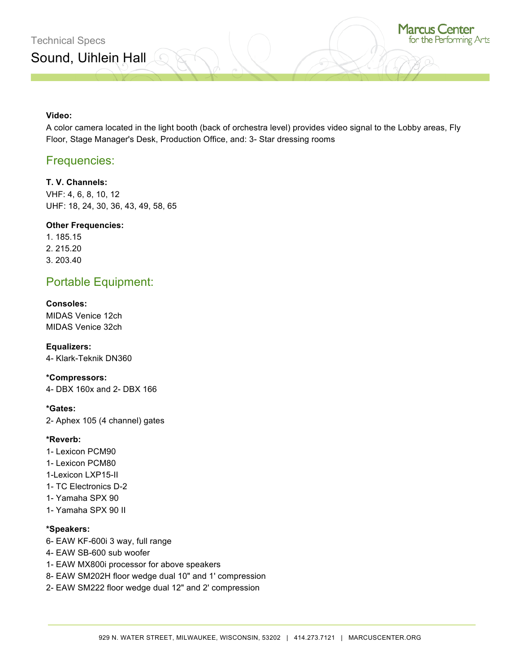## **Video:**

A color camera located in the light booth (back of orchestra level) provides video signal to the Lobby areas, Fly Floor, Stage Manager's Desk, Production Office, and: 3- Star dressing rooms

## Frequencies:

## **T. V. Channels:**

VHF: 4, 6, 8, 10, 12 UHF: 18, 24, 30, 36, 43, 49, 58, 65

## **Other Frequencies:**

1. 185.15 2. 215.20 3. 203.40

# Portable Equipment:

## **Consoles:**

MIDAS Venice 12ch MIDAS Venice 32ch

**Equalizers:** 4- Klark-Teknik DN360

#### **\*Compressors:**

4- DBX 160x and 2- DBX 166

#### **\*Gates:**

2- Aphex 105 (4 channel) gates

## **\*Reverb:**

- 1- Lexicon PCM90
- 1- Lexicon PCM80
- 1-Lexicon LXP15-II
- 1- TC Electronics D-2
- 1- Yamaha SPX 90
- 1- Yamaha SPX 90 II

## **\*Speakers:**

- 6- EAW KF-600i 3 way, full range
- 4- EAW SB-600 sub woofer
- 1- EAW MX800i processor for above speakers
- 8- EAW SM202H floor wedge dual 10" and 1' compression
- 2- EAW SM222 floor wedge dual 12" and 2' compression